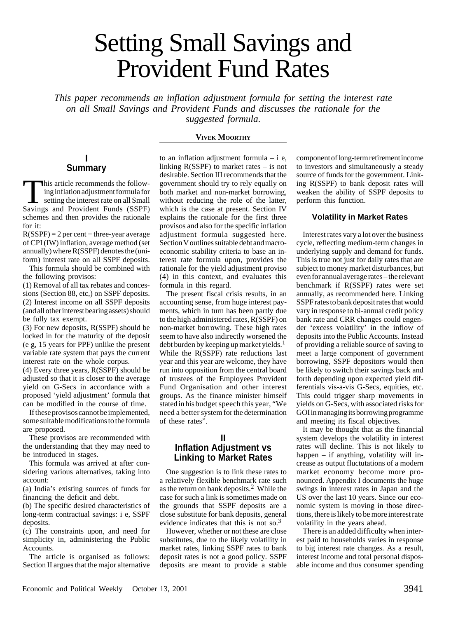# Setting Small Savings and Provident Fund Rates

*This paper recommends an inflation adjustment formula for setting the interest rate on all Small Savings and Provident Funds and discusses the rationale for the suggested formula.*

#### **VIVEK MOORTHY**

## **I Summary**

This article recommends the follow-<br>
ing inflation adjustment formula for<br>
setting the interest rate on all Small<br>
Savings and Provident Funds (SSPF) ing inflation adjustment formula for Savings and Provident Funds (SSPF) schemes and then provides the rationale for it:

 $R(SSPF) = 2$  per cent + three-year average of CPI (IW) inflation, average method (set annually) where R(SSPF) denotes the (uniform) interest rate on all SSPF deposits.

This formula should be combined with the following provisos:

(1) Removal of all tax rebates and concessions (Section 88, etc,) on SSPF deposits. (2) Interest income on all SSPF deposits (and all other interest bearing assets) should be fully tax exempt.

(3) For new deposits, R(SSPF) should be locked in for the maturity of the deposit (e g, 15 years for PPF) unlike the present variable rate system that pays the current interest rate on the whole corpus.

(4) Every three years, R(SSPF) should be adjusted so that it is closer to the average yield on G-Secs in accordance with a proposed 'yield adjustment' formula that can be modified in the course of time.

If these provisos cannot be implemented, some suitable modifications to the formula are proposed.

These provisos are recommended with the understanding that they may need to be introduced in stages.

This formula was arrived at after considering various alternatives, taking into account:

(a) India's existing sources of funds for financing the deficit and debt.

(b) The specific desired characteristics of long-term contractual savings: i e, SSPF deposits.

(c) The constraints upon, and need for simplicity in, administering the Public Accounts.

The article is organised as follows: Section II argues that the major alternative

to an inflation adjustment formula – i e, linking R(SSPF) to market rates – is not desirable. Section III recommends that the government should try to rely equally on both market and non-market borrowing, without reducing the role of the latter, which is the case at present. Section IV explains the rationale for the first three provisos and also for the specific inflation adjustment formula suggested here. Section V outlines suitable debt and macroeconomic stability criteria to base an interest rate formula upon, provides the rationale for the yield adjustment proviso (4) in this context, and evaluates this formula in this regard.

The present fiscal crisis results, in an accounting sense, from huge interest payments, which in turn has been partly due to the high administered rates, R(SSPF) on non-market borrowing. These high rates seem to have also indirectly worsened the debt burden by keeping up market yields.<sup>1</sup> While the R(SSPF) rate reductions last year and this year are welcome, they have run into opposition from the central board of trustees of the Employees Provident Fund Organisation and other interest groups. As the finance minister himself stated in his budget speech this year, "We need a better system for the determination of these rates".

### **II**

## **Inflation Adjustment vs Linking to Market Rates**

One suggestion is to link these rates to a relatively flexible benchmark rate such as the return on bank deposits.2 While the case for such a link is sometimes made on the grounds that SSPF deposits are a close substitute for bank deposits, general evidence indicates that this is not so.<sup>3</sup>

However, whether or not these are close substitutes, due to the likely volatility in market rates, linking SSPF rates to bank deposit rates is not a good policy. SSPF deposits are meant to provide a stable

component of long-term retirement income to investors and simultaneously a steady source of funds for the government. Linking R(SSPF) to bank deposit rates will weaken the ability of SSPF deposits to perform this function.

## **Volatility in Market Rates**

Interest rates vary a lot over the business cycle, reflecting medium-term changes in underlying supply and demand for funds. This is true not just for daily rates that are subject to money market disturbances, but even for annual average rates – the relevant benchmark if R(SSPF) rates were set annually, as recommended here. Linking SSPF rates to bank deposit rates that would vary in response to bi-annual credit policy bank rate and CRR changes could engender 'excess volatility' in the inflow of deposits into the Public Accounts. Instead of providing a reliable source of saving to meet a large component of government borrowing, SSPF depositors would then be likely to switch their savings back and forth depending upon expected yield differentials vis-a-vis G-Secs, equities, etc. This could trigger sharp movements in yields on G-Secs, with associated risks for GOI in managing its borrowing programme and meeting its fiscal objectives.

It may be thought that as the financial system develops the volatility in interest rates will decline. This is not likely to happen – if anything, volatility will increase as output fluctutations of a modern market economy become more pronounced. Appendix I documents the huge swings in interest rates in Japan and the US over the last 10 years. Since our economic system is moving in those directions, there is likely to be more interest rate volatility in the years ahead.

There is an added difficulty when interest paid to households varies in response to big interest rate changes. As a result, interest income and total personal disposable income and thus consumer spending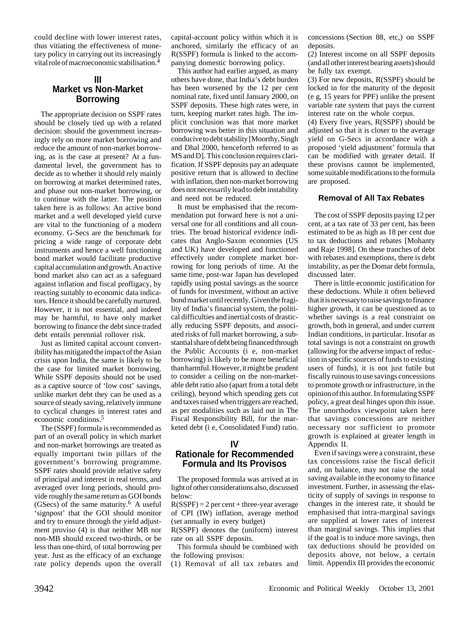could decline with lower interest rates, thus vitiating the effectiveness of monetary policy in carrying out its increasingly vital role of macroeconomic stabilisation.4

## **III Market vs Non-Market Borrowing**

The appropriate decision on SSPF rates should be closely tied up with a related decision: should the government increasingly rely on more market borrowing and reduce the amount of non-market borrowing, as is the case at present? At a fundamental level, the government has to decide as to whether it should rely mainly on borrowing at market determined rates, and phase out non-market borrowing, or to continue with the latter. The position taken here is as follows: An active bond market and a well developed yield curve are vital to the functioning of a modern economy. G-Secs are the benchmark for pricing a wide range of corporate debt instruments and hence a well functioning bond market would facilitate productive capital accumulation and growth. An active bond market also can act as a safeguard against inflation and fiscal profligacy, by reacting suitably to economic data indicators. Hence it should be carefully nurtured. However, it is not essential, and indeed may be harmful, to have only market borrowing to finance the debt since traded debt entails perennial rollover risk.

Just as limited capital account convertibility has mitigated the impact of the Asian crisis upon India, the same is likely to be the case for limited market borrowing. While SSPF deposits should not be used as a captive source of 'low cost' savings, unlike market debt they can be used as a source of steady saving, relatively immune to cyclical changes in interest rates and economic conditions.<sup>5</sup>

The (SSPF) formula is recommended as part of an overall policy in which market and non-market borrowings are treated as equally important twin pillars of the government's borrowing programme. SSPF rates should provide relative safety of principal and interest in real terms, and averaged over long periods, should provide roughly the same return as GOI bonds (GSecs) of the same maturity.<sup>6</sup> A useful 'signpost' that the GOI should monitor and try to ensure through the yield adjustment proviso (4) is that neither MB nor non-MB should exceed two-thirds, or be less than one-third, of total borrowing per year. Just as the efficacy of an exchange rate policy depends upon the overall

capital-account policy within which it is anchored, similarly the efficacy of an R(SSPF) formula is linked to the accompanying domestic borrowing policy.

This author had earlier argued, as many others have done, that India's debt burden has been worsened by the 12 per cent nominal rate, fixed until January 2000, on SSPF deposits. These high rates were, in turn, keeping market rates high. The implicit conclusion was that more market borrowing was better in this situation and conducive to debt stability [Moorthy, Singh and Dhal 2000, henceforth referred to as MS and D]. This conclusion requires clarification. If SSPF deposits pay an adequate positive return that is allowed to decline with inflation, then non-market borrowing does not necessarily lead to debt instability and need not be reduced.

It must be emphasised that the recommendation put forward here is not a universal one for all conditions and all countries. The broad historical evidence indicates that Anglo-Saxon economies (US and UK) have developed and functioned effectively under complete market borrowing for long periods of time. At the same time, post-war Japan has developed rapidly using postal savings as the source of funds for investment, without an active bond market until recently. Given the fragility of India's financial system, the political difficulties and inertial costs of drastically reducing SSPF deposits, and associated risks of full market borrowing, a substantial share of debt being financed through the Public Accounts (i e, non-market borrowing) is likely to be more beneficial than harmful. However, it might be prudent to consider a ceiling on the non-marketable debt ratio also (apart from a total debt ceiling), beyond which spending gets cut and taxes raised when triggers are reached, as per modalities such as laid out in The Fiscal Responsibility Bill, for the marketed debt (i e, Consolidated Fund) ratio.

## **IV Rationale for Recommended Formula and Its Provisos**

The proposed formula was arrived at in light of other considerations also, discussed below:

 $R(SSPF) = 2$  per cent + three-year average of CPI (IW) inflation, average method (set annually in every budget)

R(SSPF) denotes the (uniform) interest rate on all SSPF deposits.

This formula should be combined with the following provisos:

(1) Removal of all tax rebates and

concessions (Section 88, etc,) on SSPF deposits.

(2) Interest income on all SSPF deposits (and all other interest bearing assets) should be fully tax exempt.

(3) For new deposits, R(SSPF) should be locked in for the maturity of the deposit (e g, 15 years for PPF) unlike the present variable rate system that pays the current interest rate on the whole corpus.

(4) Every five years, R(SSPF) should be adjusted so that it is closer to the average yield on G-Secs in accordance with a proposed 'yield adjustment' formula that can be modified with greater detail. If these provisos cannot be implemented, some suitable modifications to the formula are proposed.

#### **Removal of All Tax Rebates**

The cost of SSPF deposits paying 12 per cent, at a tax rate of 33 per cent, has been estimated to be as high as 18 per cent due to tax deductions and rebates [Mohanty and Raje 1998]. On these tranches of debt with rebates and exemptions, there is debt instability, as per the Domar debt formula, discussed later.

There is little economic justification for these deductions. While it often believed that it is necessary to raise savings to finance higher growth, it can be questioned as to whether savings is a real constraint on growth, both in general, and under current Indian conditions, in particular. Insofar as total savings is not a constraint on growth (allowing for the adverse impact of reduction in specific sources of funds to existing users of funds), it is not just futile but fiscally ruinous to use savings concessions to promote growth or infrastructure, in the opinion of this author. In formulating SSPF policy, a great deal hinges upon this issue. The unorthodox viewpoint taken here that savings concessions are neither necessary nor sufficient to promote growth is explained at greater length in Appendix II.

Even if savings were a constraint, these tax concessions raise the fiscal deficit and, on balance, may not raise the total saving available in the economy to finance investment. Further, in assessing the elasticity of supply of savings in response to changes in the interest rate, it should be emphasised that intra-marginal savings are supplied at lower rates of interest than marginal savings. This implies that if the goal is to induce more savings, then tax deductions should be provided on deposits above, not below, a certain limit. Appendix III provides the economic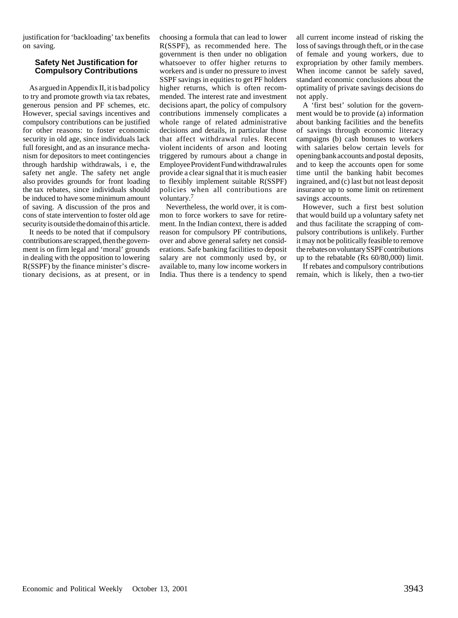justification for 'backloading' tax benefits on saving.

#### **Safety Net Justification for Compulsory Contributions**

As argued in Appendix II, it is bad policy to try and promote growth via tax rebates, generous pension and PF schemes, etc. However, special savings incentives and compulsory contributions can be justified for other reasons: to foster economic security in old age, since individuals lack full foresight, and as an insurance mechanism for depositors to meet contingencies through hardship withdrawals, i e, the safety net angle. The safety net angle also provides grounds for front loading the tax rebates, since individuals should be induced to have some minimum amount of saving. A discussion of the pros and cons of state intervention to foster old age security is outside the domain of this article.

It needs to be noted that if compulsory contributions are scrapped, then the government is on firm legal and 'moral' grounds in dealing with the opposition to lowering R(SSPF) by the finance minister's discretionary decisions, as at present, or in choosing a formula that can lead to lower R(SSPF), as recommended here. The government is then under no obligation whatsoever to offer higher returns to workers and is under no pressure to invest SSPF savings in equities to get PF holders higher returns, which is often recommended. The interest rate and investment decisions apart, the policy of compulsory contributions immensely complicates a whole range of related administrative decisions and details, in particular those that affect withdrawal rules. Recent violent incidents of arson and looting triggered by rumours about a change in Employee Provident Fund withdrawal rules provide a clear signal that it is much easier to flexibly implement suitable R(SSPF) policies when all contributions are voluntary.

Nevertheless, the world over, it is common to force workers to save for retirement. In the Indian context, there is added reason for compulsory PF contributions, over and above general safety net considerations. Safe banking facilities to deposit salary are not commonly used by, or available to, many low income workers in India. Thus there is a tendency to spend all current income instead of risking the loss of savings through theft, or in the case of female and young workers, due to expropriation by other family members. When income cannot be safely saved, standard economic conclusions about the optimality of private savings decisions do not apply.

A 'first best' solution for the government would be to provide (a) information about banking facilities and the benefits of savings through economic literacy campaigns (b) cash bonuses to workers with salaries below certain levels for opening bank accounts and postal deposits, and to keep the accounts open for some time until the banking habit becomes ingrained, and (c) last but not least deposit insurance up to some limit on retirement savings accounts.

However, such a first best solution that would build up a voluntary safety net and thus facilitate the scrapping of compulsory contributions is unlikely. Further it may not be politically feasible to remove the rebates on voluntary SSPF contributions up to the rebatable (Rs 60/80,000) limit.

If rebates and compulsory contributions remain, which is likely, then a two-tier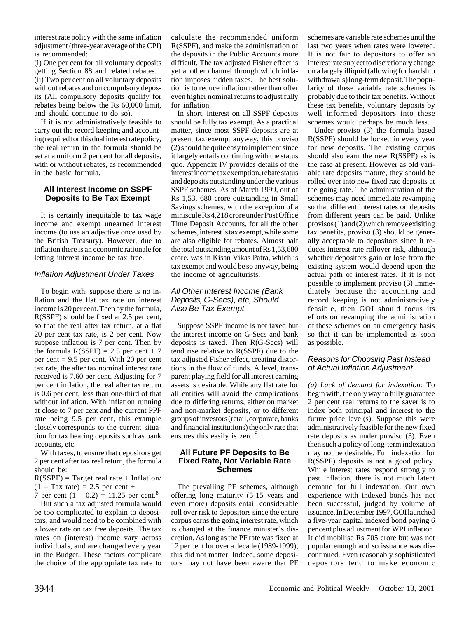interest rate policy with the same inflation adjustment (three-year average of the CPI) is recommended:

(i) One per cent for all voluntary deposits getting Section 88 and related rebates. (ii) Two per cent on all voluntary deposits without rebates and on compulsory deposits (All compulsory deposits qualify for rebates being below the Rs 60,000 limit, and should continue to do so).

If it is not administratively feasible to carry out the record keeping and accounting required for this dual interest rate policy, the real return in the formula should be set at a uniform 2 per cent for all deposits, with or without rebates, as recommended in the basic formula.

#### **All Interest Income on SSPF Deposits to Be Tax Exempt**

It is certainly inequitable to tax wage income and exempt unearned interest income (to use an adjective once used by the British Treasury). However, due to inflation there is an economic rationale for letting interest income be tax free.

#### Inflation Adjustment Under Taxes

To begin with, suppose there is no inflation and the flat tax rate on interest income is 20 per cent. Then by the formula, R(SSPF) should be fixed at 2.5 per cent, so that the real after tax return, at a flat 20 per cent tax rate, is 2 per cent. Now suppose inflation is 7 per cent. Then by the formula  $R(SSPF) = 2.5$  per cent + 7 per cent  $= 9.5$  per cent. With 20 per cent tax rate, the after tax nominal interest rate received is 7.60 per cent. Adjusting for 7 per cent inflation, the real after tax return is 0.6 per cent, less than one-third of that without inflation. With inflation running at close to 7 per cent and the current PPF rate being 9.5 per cent, this example closely corresponds to the current situation for tax bearing deposits such as bank accounts, etc.

With taxes, to ensure that depositors get 2 per cent after tax real return, the formula should be:

 $R(SSPF) = Target real rate + Inflation/$  $(1 - Tax rate) = 2.5$  per cent +

7 per cent  $(1 - 0.2) = 11.25$  per cent.<sup>8</sup> But such a tax adjusted formula would be too complicated to explain to depositors, and would need to be combined with a lower rate on tax free deposits. The tax rates on (interest) income vary across individuals, and are changed every year in the Budget. These factors complicate the choice of the appropriate tax rate to

calculate the recommended uniform R(SSPF), and make the administration of the deposits in the Public Accounts more difficult. The tax adjusted Fisher effect is yet another channel through which inflation imposes hidden taxes. The best solution is to reduce inflation rather than offer even higher nominal returns to adjust fully for inflation.

In short, interest on all SSPF deposits should be fully tax exempt. As a practical matter, since most SSPF deposits are at present tax exempt anyway, this proviso (2) should be quite easy to implement since it largely entails continuing with the status quo. Appendix IV provides details of the interest income tax exemption, rebate status and deposits outstanding under the various SSPF schemes. As of March 1999, out of Rs 1,53, 680 crore outstanding in Small Savings schemes, with the exception of a miniscule Rs 4,218 crore under Post Office Time Deposit Accounts, for all the other schemes, interest is tax exempt, while some are also eligible for rebates. Almost half the total outstanding amount of Rs 1,53,680 crore. was in Kisan Vikas Patra, which is tax exempt and would be so anyway, being the income of agriculturists.

#### All Other Interest Income (Bank Deposits, G-Secs), etc, Should Also Be Tax Exempt

Suppose SSPF income is not taxed but the interest income on G-Secs and bank deposits is taxed. Then R(G-Secs) will tend rise relative to R(SSPF) due to the tax adjusted Fisher effect, creating distortions in the flow of funds. A level, transparent playing field for all interest earning assets is desirable. While any flat rate for all entities will avoid the complications due to differing returns, either on market and non-market deposits, or to different groups of investors (retail, corporate, banks and financial institutions) the only rate that ensures this easily is zero.<sup>9</sup>

#### **All Future PF Deposits to Be Fixed Rate, Not Variable Rate Schemes**

The prevailing PF schemes, although offering long maturity (5-15 years and even more) deposits entail considerable roll over risk to depositors since the entire corpus earns the going interest rate, which is changed at the finance minister's discretion. As long as the PF rate was fixed at 12 per cent for over a decade (1989-1999), this did not matter. Indeed, some depositors may not have been aware that PF schemes are variable rate schemes until the last two years when rates were lowered. It is not fair to depositors to offer an interest rate subject to discretionary change on a largely illiquid (allowing for hardship withdrawals) long-term deposit. The popularity of these variable rate schemes is probably due to their tax benefits. Without these tax benefits, voluntary deposits by well informed depositors into these schemes would perhaps be much less.

Under proviso (3) the formula based R(SSPF) should be locked in every year for new deposits. The existing corpus should also earn the new R(SSPF) as is the case at present. However as old variable rate deposits mature, they should be rolled over into new fixed rate deposits at the going rate. The administration of the schemes may need immediate revamping so that different interest rates on deposits from different years can be paid. Unlike provisos (1) and (2) which remove exisiting tax benefits, proviso (3) should be generally acceptable to depositors since it reduces interest rate rollover risk, although whether depositors gain or lose from the existing system would depend upon the actual path of interest rates. If it is not possible to implement proviso (3) immediately because the accounting and record keeping is not administratively feasible, then GOI should focus its efforts on revamping the administration of these schemes on an emergency basis so that it can be implemented as soon as possible.

### Reasons for Choosing Past Instead of Actual Inflation Adjustment

*(a) Lack of demand for indexation:* To begin with, the only way to fully guarantee 2 per cent real returns to the saver is to index both principal and interest to the future price level(s). Suppose this were administratively feasible for the new fixed rate deposits as under proviso (3). Even then such a policy of long-term indexation may not be desirable. Full indexation for R(SSPF) deposits is not a good policy. While interest rates respond strongly to past inflation, there is not much latent demand for full indexation. Our own experience with indexed bonds has not been successful, judged by volume of issuance. In December 1997, GOI launched a five-year capital indexed bond paying 6 per cent plus adjustment for WPI inflation. It did mobilise Rs 705 crore but was not popular enough and so issuance was discontinued. Even reasonably sophisticated depositors tend to make economic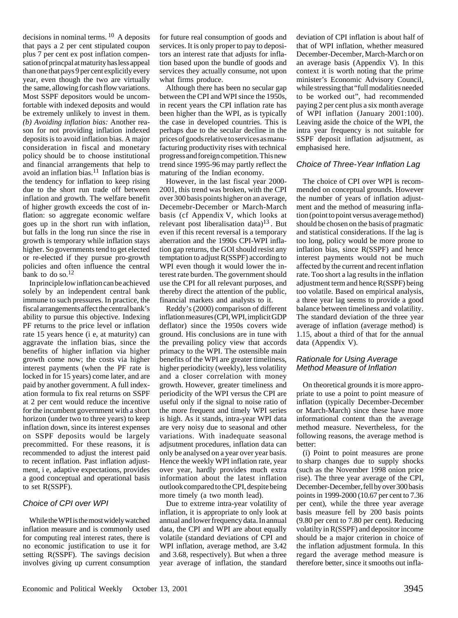decisions in nominal terms. 10 A deposits that pays a 2 per cent stipulated coupon plus 7 per cent ex post inflation compensation of princpal at maturity has less appeal than one that pays 9 per cent explicitly every year, even though the two are virtually the same, allowing for cash flow variations. Most SSPF depositors would be uncomfortable with indexed deposits and would be extremely unlikely to invest in them. *(b) Avoiding inflation bias:* Another reason for not providing inflation indexed deposits is to avoid inflation bias. A major consideration in fiscal and monetary policy should be to choose institutional and financial arrangements that help to avoid an inflation bias.11 Inflation bias is the tendency for inflation to keep rising due to the short run trade off between inflation and growth. The welfare benefit of higher growth exceeds the cost of inflation: so aggregate economic welfare goes up in the short run with inflation, but falls in the long run since the rise in growth is temporary while inflation stays higher. So governments tend to get elected or re-elected if they pursue pro-growth policies and often influence the central bank to do so.<sup>12</sup>

In principle low inflation can be achieved solely by an independent central bank immune to such pressures. In practice, the fiscal arrangements affect the central bank's ability to pursue this objective. Indexing PF returns to the price level or inflation rate 15 years hence (i e, at maturity) can aggravate the inflation bias, since the benefits of higher inflation via higher growth come now; the costs via higher interest payments (when the PF rate is locked in for 15 years) come later, and are paid by another government. A full indexation formula to fix real returns on SSPF at 2 per cent would reduce the incentive for the incumbent government with a short horizon (under two to three years) to keep inflation down, since its interest expenses on SSPF deposits would be largely precommitted. For these reasons, it is recommended to adjust the interest paid to recent inflation. Past inflation adjustment, i e, adaptive expectations, provides a good conceptual and operational basis to set R(SSPF).

### Choice of CPI over WPI

While the WPI is the most widely watched inflation measure and is commonly used for computing real interest rates, there is no economic justification to use it for setting R(SSPF). The savings decision involves giving up current consumption for future real consumption of goods and services. It is only proper to pay to depositors an interest rate that adjusts for inflation based upon the bundle of goods and services they actually consume, not upon what firms produce.

Although there has been no secular gap between the CPI and WPI since the 1950s, in recent years the CPI inflation rate has been higher than the WPI, as is typically the case in developed countries. This is perhaps due to the secular decline in the prices of goods relative to services as manufacturing productivity rises with technical progress and foreign competition. This new trend since 1995-96 may partly reflect the maturing of the Indian economy.

However, in the last fiscal year 2000- 2001, this trend was broken, with the CPI over 300 basis points higher on an average, Decemebr-December or March-March basis (cf Appendix V, which looks at relevant post liberalisation data) $13$ . But even if this recent reversal is a temporary aberration and the 1990s CPI-WPI inflation gap returns, the GOI should resist any temptation to adjust R(SSPF) according to WPI even though it would lower the interest rate burden. The government should use the CPI for all relevant purposes, and thereby direct the attention of the public, financial markets and analysts to it.

Reddy's (2000) comparison of different inflation measures (CPI, WPI, implicit GDP deflator) since the 1950s covers wide ground. His conclusions are in tune with the prevailing policy view that accords primacy to the WPI. The ostensible main benefits of the WPI are greater timeliness, higher periodicity (weekly), less volatility and a closer correlation with money growth. However, greater timeliness and periodicity of the WPI versus the CPI are useful only if the signal to noise ratio of the more frequent and timely WPI series is high. As it stands, intra-year WPI data are very noisy due to seasonal and other variations. With inadequate seasonal adjsutment procedures, inflation data can only be analysed on a year over year basis. Hence the weekly WPI inflation rate, year over year, hardly provides much extra information about the latest inflation outlook compared to the CPI, despite being more timely (a two month lead).

Due to extreme intra-year volatility of inflation, it is appropriate to only look at annual and lower frequency data. In annual data, the CPI and WPI are about equally volatile (standard deviations of CPI and WPI inflation, average method, are 3.42 and 3.68, respectively). But when a three year average of inflation, the standard

deviation of CPI inflation is about half of that of WPI inflation, whether measured December-December, March-March or on an average basis (Appendix V). In this context it is worth noting that the prime minister's Economic Advisory Council, while stressing that "full modalities needed to be worked out", had recommended paying 2 per cent plus a six month average of WPI inflation (January 2001:100). Leaving aside the choice of the WPI, the intra year frequency is not suitable for SSPF deposit inflation adjsutment, as emphasised here.

#### Choice of Three-Year Inflation Lag

The choice of CPI over WPI is recommended on conceptual grounds. However the number of years of inflation adjustment and the method of measuring inflation (point to point versus average method) should be chosen on the basis of pragmatic and statistical considerations. If the lag is too long, policy would be more prone to inflation bias, since R(SSPF) and hence interest payments would not be much affected by the current and recent inflation rate. Too short a lag results in the inflation adjustment term and hence R(SSPF) being too volatile. Based on empirical analysis, a three year lag seems to provide a good balance between timeliness and volatility. The standard deviation of the three year average of inflation (average method) is 1.15, about a third of that for the annual data (Appendix V).

#### Rationale for Using Average Method Measure of Inflation

On theoretical grounds it is more appropriate to use a point to point measure of inflation (typically December-December or March-March) since these have more informational content than the average method measure. Nevertheless, for the following reasons, the average method is better:

(i) Point to point measures are prone to sharp changes due to supply shocks (such as the November 1998 onion price rise). The three year average of the CPI, December-December, fell by over 300 basis points in 1999-2000 (10.67 per cent to 7.36 per cent), while the three year average basis measure fell by 200 basis points (9.80 per cent to 7.80 per cent). Reducing volatilty in R(SSPF) and depositor income should be a major criterion in choice of the inflation adjustment formula. In this regard the average method measure is therefore better, since it smooths out infla-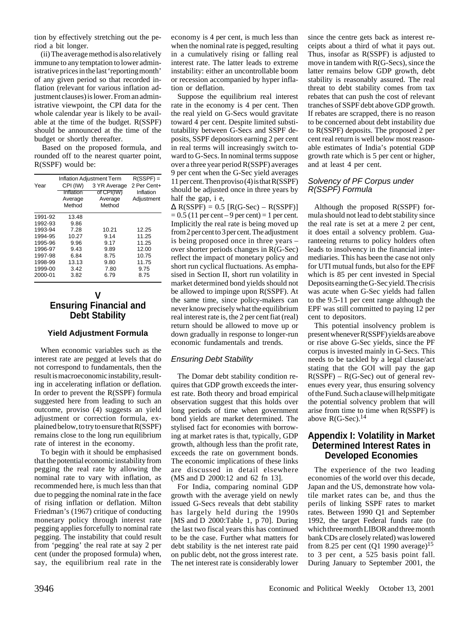tion by effectively stretching out the period a bit longer.

(ii) The average method is also relatively immune to any temptation to lower administrative prices in the last 'reporting month' of any given period so that recorded inflation (relevant for various inflation adjustment clauses) is lower. From an administrative viewpoint, the CPI data for the whole calendar year is likely to be available at the time of the budget. R(SSPF) should be announced at the time of the budget or shortly thereafter.

Based on the proposed formula, and rounded off to the nearest quarter point, R(SSPF) would be:

|         | <b>Inflation Adjustment Term</b> | $R(SSPF) =$  |             |  |  |  |
|---------|----------------------------------|--------------|-------------|--|--|--|
| Year    | CPI (IW)                         | 3 YR Average | 2 Per Cent+ |  |  |  |
|         | Inflation                        | of CPI(IW)   | Inflation   |  |  |  |
|         | Average                          | Average      | Adjustment  |  |  |  |
|         | Method                           | Method       |             |  |  |  |
| 1991-92 | 13.48                            |              |             |  |  |  |
| 1992-93 | 9.86                             |              |             |  |  |  |
| 1993-94 | 7.28                             | 10.21        | 12.25       |  |  |  |
| 1994-95 | 10.27                            | 9.14         | 11.25       |  |  |  |
| 1995-96 | 9.96                             | 9.17         | 11.25       |  |  |  |
| 1996-97 | 9.43                             | 9.89         | 12.00       |  |  |  |
| 1997-98 | 6.84                             | 8.75         | 10.75       |  |  |  |
| 1998-99 | 13.13                            | 9.80         | 11.75       |  |  |  |
| 1999-00 | 3.42                             | 7.80         | 9.75        |  |  |  |
| 2000-01 | 3.82                             | 6.79         | 8.75        |  |  |  |
|         |                                  |              |             |  |  |  |

## **V Ensuring Financial and Debt Stability**

### **Yield Adjustment Formula**

When economic variables such as the interest rate are pegged at levels that do not correspond to fundamentals, then the result is macroeconomic instability, resulting in accelerating inflation or deflation. In order to prevent the R(SSPF) formula suggested here from leading to such an outcome, proviso (4) suggests an yield adjustment or correction formula, explained below, to try to ensure that R(SSPF) remains close to the long run equilibrium rate of interest in the economy.

To begin with it should be emphasised that the potential economic instability from pegging the real rate by allowing the nominal rate to vary with inflation, as recommended here, is much less than that due to pegging the nominal rate in the face of rising inflation or deflation. Milton Friedman's (1967) critique of conducting monetary policy through interest rate pegging applies forcefully to nominal rate pegging. The instability that could result from 'pegging' the real rate at say 2 per cent (under the proposed formula) when, say, the equilibrium real rate in the

economy is 4 per cent, is much less than when the nominal rate is pegged, resulting in a cumulatively rising or falling real interest rate. The latter leads to extreme instability: either an uncontrollable boom or recession accompanied by hyper inflation or deflation.

Suppose the equilibrium real interest rate in the economy is 4 per cent. Then the real yield on G-Secs would gravitate toward 4 per cent. Despite limited substitutability between G-Secs and SSPF deposits, SSPF depositors earning 2 per cent in real terms will increasingly switch toward to G-Secs. In nominal terms suppose over a three year period R(SSPF) averages 9 per cent when the G-Sec yield averages 11 per cent. Then proviso (4) is that R(SSPF) should be adjusted once in three years by half the gap, i e,

 $\Delta$  R(SSPF) = 0.5 [R(G-Sec) – R(SSPF)]  $= 0.5$  (11 per cent – 9 per cent)  $= 1$  per cent. Implicitly the real rate is being moved up from 2 per cent to 3 per cent. The adjustment is being proposed once in three years – over shorter periods changes in R(G-Sec) reflect the impact of monetary policy and short run cyclical fluctuations. As emphasised in Section II, short run volatility in market determined bond yields should not be allowed to impinge upon R(SSPF). At the same time, since policy-makers can never know precisely what the equilibrium real interest rate is, the 2 per cent fiat (real) return should be allowed to move up or down gradually in response to longer-run economic fundamentals and trends.

### Ensuring Debt Stability

The Domar debt stability condition requires that GDP growth exceeds the interest rate. Both theory and broad empirical observation suggest that this holds over long periods of time when government bond yields are market determined. The stylised fact for economies with borrowing at market rates is that, typically, GDP growth, although less than the profit rate, exceeds the rate on government bonds. The economic implications of these links are discussed in detail elsewhere (MS and D 2000:12 and 62 fn 13].

For India, comparing nominal GDP growth with the average yield on newly issued G-Secs reveals that debt stability has largely held during the 1990s [MS and D 2000:Table 1, p 70]. During the last two fiscal years this has continued to be the case. Further what matters for debt stability is the net interest rate paid on public debt, not the gross interest rate. The net interest rate is considerably lower

since the centre gets back as interest receipts about a third of what it pays out. Thus, insofar as R(SSPF) is adjusted to move in tandem with R(G-Secs), since the latter remains below GDP growth, debt stability is reasonably assured. The real threat to debt stability comes from tax rebates that can push the cost of relevant tranches of SSPF debt above GDP growth. If rebates are scrapped, there is no reason to be concerned about debt instability due to R(SSPF) deposits. The proposed 2 per cent real return is well below most reasonable estimates of India's potential GDP growth rate which is 5 per cent or higher, and at least 4 per cent.

### Solvency of PF Corpus under R(SSPF) Formula

Although the proposed R(SSPF) formula should not lead to debt stability since the real rate is set at a mere 2 per cent, it does entail a solvency problem. Guaranteeing returns to policy holders often leads to insolvency in the financial intermediaries. This has been the case not only for UTI mutual funds, but also for the EPF which is 85 per cent invested in Special Deposits earning the G-Sec yield. The crisis was acute when G-Sec yields had fallen to the 9.5-11 per cent range although the EPF was still committed to paying 12 per cent to depositors.

This potential insolvency problem is present whenever R(SSPF) yields are above or rise above G-Sec yields, since the PF corpus is invested mainly in G-Secs. This needs to be tackled by a legal clause/act stating that the GOI will pay the gap  $R(SSPF) - R(G-Sec)$  out of general revenues every year, thus ensuring solvency of the Fund. Such a clause will help mitigate the potential solvency problem that will arise from time to time when R(SSPF) is above  $R(G-Sec).<sup>14</sup>$ 

## **Appendix I: Volatility in Market Determined Interest Rates in Developed Economies**

The experience of the two leading economies of the world over this decade, Japan and the US, demonstrate how volatile market rates can be, and thus the perils of linking SSPF rates to market rates. Between 1990 Q1 and September 1992, the target Federal funds rate (to which three month LIBOR and three month bank CDs are closely related) was lowered from 8.25 per cent (Q1 1990 average)<sup>15</sup> to 3 per cent, a 525 basis point fall. During January to September 2001, the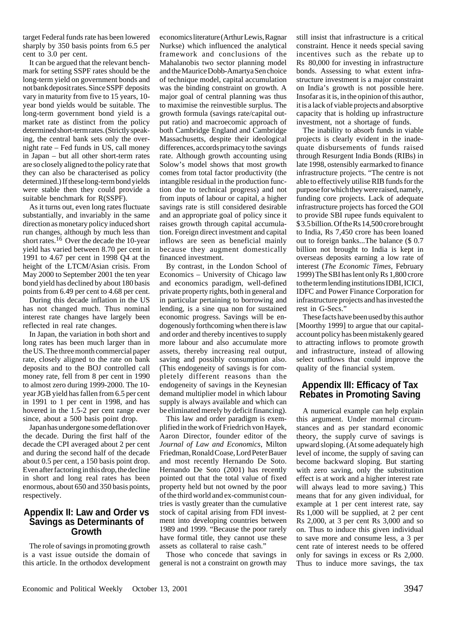target Federal funds rate has been lowered sharply by 350 basis points from 6.5 per cent to 3.0 per cent.

It can be argued that the relevant benchmark for setting SSPF rates should be the long-term yield on government bonds and not bank deposit rates. Since SSPF deposits vary in maturity from five to 15 years, 10 year bond yields would be suitable. The long-term government bond yield is a market rate as distinct from the policy determined short-term rates. (Strictly speaking, the central bank sets only the overnight rate – Fed funds in US, call money in Japan – but all other short-term rates are so closely aligned to the policy rate that they can also be characterised as policy determined.) If these long-term bond yields were stable then they could provide a suitable benchmark for R(SSPF).

As it turns out, even long rates fluctuate substantially, and invariably in the same direction as monetary policy induced short run changes, although by much less than short rates.<sup>16</sup> Over the decade the 10-year yield has varied between 8.70 per cent in 1991 to 4.67 per cent in 1998 Q4 at the height of the LTCM/Asian crisis. From May 2000 to September 2001 the ten year bond yield has declined by about 180 basis points from 6.49 per cent to 4.68 per cent.

During this decade inflation in the US has not changed much. Thus nominal interest rate changes have largely been reflected in real rate changes.

In Japan, the variation in both short and long rates has been much larger than in the US. The three month commercial paper rate, closely aligned to the rate on bank deposits and to the BOJ controlled call money rate, fell from 8 per cent in 1990 to almost zero during 1999-2000. The 10 year JGB yield has fallen from 6.5 per cent in 1991 to 1 per cent in 1998, and has hovered in the 1.5-2 per cent range ever since, about a 500 basis point drop.

Japan has undergone some deflation over the decade. During the first half of the decade the CPI averaged about 2 per cent and during the second half of the decade about 0.5 per cent, a 150 basis point drop. Even after factoring in this drop, the decline in short and long real rates has been enormous, about 650 and 350 basis points, respectively.

## **Appendix II: Law and Order vs Savings as Determinants of Growth**

The role of savings in promoting growth is a vast issue outside the domain of this article. In the orthodox development economics literature (Arthur Lewis, Ragnar Nurkse) which influenced the analytical framework and conclusions of the Mahalanobis two sector planning model and the Maurice Dobb-Amartya Sen choice of technique model, capital accumulation was the binding constraint on growth. A major goal of central planning was thus to maximise the reinvestible surplus. The growth formula (savings rate/capital output ratio) and macroecomic approach of both Cambridge England and Cambridge Massachusetts, despite their ideological differences, accords primacy to the savings rate. Although growth accounting using Solow's model shows that most growth comes from total factor productivity (the intangible residual in the production function due to technical progress) and not from inputs of labour or capital, a higher savings rate is still considered desirable and an appropriate goal of policy since it raises growth through capital accumulation. Foreign direct investment and capital inflows are seen as beneficial mainly because they augment domestically financed investment.

By contrast, in the London School of Economics – University of Chicago law and economics paradigm, well-defined private property rights, both in general and in particular pertaining to borrowing and lending, is a sine qua non for sustained economic progress. Savings will be endogenously forthcoming when there is law and order and thereby incentives to supply more labour and also accumulate more assets, thereby increasing real output, saving and possibly consumption also. (This endogeneity of savings is for completely different reasons than the endogeneity of savings in the Keynesian demand multiplier model in which labour supply is always available and which can be eliminated merely by deficit financing).

This law and order paradigm is exemplified in the work of Friedrich von Hayek, Aaron Director, founder editor of the *Journal of Law and Economics*, Milton Friedman, Ronald Coase, Lord Peter Bauer and most recently Hernando De Soto. Hernando De Soto (2001) has recently pointed out that the total value of fixed property held but not owned by the poor of the third world and ex-communist countries is vastly greater than the cumulative stock of capital arising from FDI investment into developing countries between 1989 and 1999. "Because the poor rarely have formal title, they cannot use these assets as collateral to raise cash."

Those who concede that savings in general is not a constraint on growth may

still insist that infrastructure is a critical constraint. Hence it needs special saving incentives such as the rebate up to Rs 80,000 for investing in infrastructure bonds. Assessing to what extent infrastructure investment is a major constraint on India's growth is not possible here. Insofar as it is, in the opinion of this author, it is a lack of viable projects and absorptive capacity that is holding up infrastructure investment, not a shortage of funds.

The inability to absorb funds in viable projects is clearly evident in the inadequate disbursements of funds raised through Resurgent India Bonds (RIBs) in late 1998, ostensibly earmarked to finance infrastructure projects. "The centre is not able to effectively utilise RIB funds for the purpose for which they were raised, namely, funding core projects. Lack of adequate infrastructure projects has forced the GOI to provide SBI rupee funds equivalent to \$ 3.5 billion. Of the Rs 14,500 crore brought to India, Rs 7,450 crore has been loaned out to foreign banks...The balance (\$ 0.7 billion not brought to India is kept in overseas deposits earning a low rate of interest (*The Economic Times*, February 1999) The SBI has lent only Rs 1,800 crore to the term lending institutions IDBI, ICICI, IDFC and Power Finance Corporation for infrastructure projects and has invested the rest in G-Secs."

These facts have been used by this author [Moorthy 1999] to argue that our capitalaccount policy has been mistakenly geared to attracting inflows to promote growth and infrastructure, instead of allowing select outflows that could improve the quality of the financial system.

## **Appendix III: Efficacy of Tax Rebates in Promoting Saving**

A numerical example can help explain this argument. Under mormal circumstances and as per standard economic theory, the supply curve of savings is upward sloping. (At some adequately high level of income, the supply of saving can become backward sloping. But starting with zero saving, only the substitution effect is at work and a higher interest rate will always lead to more saving.) This means that for any given individual, for example at 1 per cent interest rate, say Rs 1,000 will be supplied, at 2 per cent Rs 2,000, at 3 per cent Rs 3,000 and so on. Thus to induce this given individual to save more and consume less, a 3 per cent rate of interest needs to be offered only for savings in excess or Rs 2,000. Thus to induce more savings, the tax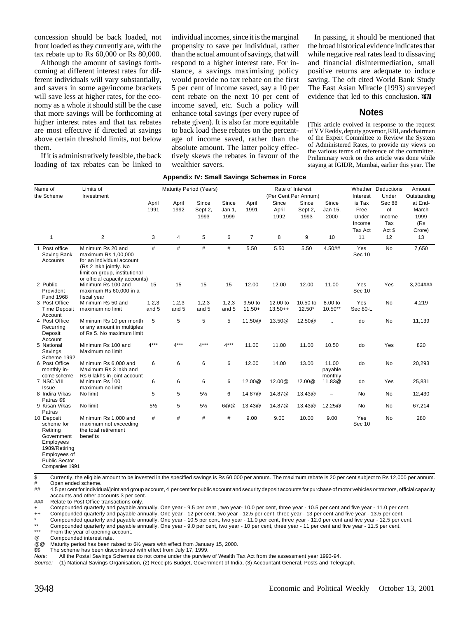concession should be back loaded, not front loaded as they currently are, with the tax rebate up to Rs 60,000 or Rs 80,000.

Although the amount of savings forthcoming at different interest rates for different individuals will vary substantially, and savers in some age/income brackets will save less at higher rates, for the economy as a whole it should still be the case that more savings will be forthcoming at higher interest rates and that tax rebates are most effective if directed at savings above certain threshold limits, not below them.

If it is administratively feasible, the back loading of tax rebates can be linked to individual incomes, since it is the marginal propensity to save per individual, rather than the actual amount of savings, that will respond to a higher interest rate. For instance, a savings maximising policy would provide no tax rebate on the first 5 per cent of income saved, say a 10 per cent rebate on the next 10 per cent of income saved, etc. Such a policy will enhance total savings (per every rupee of rebate given). It is also far more equitable to back load these rebates on the percentage of income saved, rather than the absolute amount. The latter policy effectively skews the rebates in favour of the wealthier savers.

In passing, it should be mentioned that the broad historical evidence indicates that while negative real rates lead to dissaving and financial disintermediation, small positive returns are adequate to induce saving. The oft cited World Bank Study The East Asian Miracle (1993) surveyed evidence that led to this conclusion.

#### **Notes**

[This article evolved in response to the request of Y V Reddy, deputy governor, RBI, and chairman of the Expert Committee to Review the System of Administered Rates, to provide my views on the various terms of reference of the committee. Preliminary work on this article was done while staying at IGIDR, Mumbai, earlier this year. The

#### **Appendix IV: Small Savings Schemes in Force**

| Name of<br>the Scheme                                                                            | Limits of<br>Investment                                                                                                                                            | Maturity Period (Years) |                |                          | Rate of Interest<br>(Per Cent Per Annum) |                     |                        |                          | Interest                        | Whether Deductions<br>Under       | Amount<br>Outstanding         |                                 |
|--------------------------------------------------------------------------------------------------|--------------------------------------------------------------------------------------------------------------------------------------------------------------------|-------------------------|----------------|--------------------------|------------------------------------------|---------------------|------------------------|--------------------------|---------------------------------|-----------------------------------|-------------------------------|---------------------------------|
|                                                                                                  |                                                                                                                                                                    | April<br>1991           | April<br>1992  | Since<br>Sept 2,<br>1993 | Since<br>Jan 1,<br>1999                  | April<br>1991       | Since<br>April<br>1992 | Since<br>Sept 2,<br>1993 | <b>Since</b><br>Jan 15,<br>2000 | is Tax<br>Free<br>Under<br>Income | Sec 88<br>of<br>Income<br>Tax | at End-<br>March<br>1999<br>(Rs |
| 1                                                                                                | 2                                                                                                                                                                  | 3                       | 4              | 5                        | 6                                        | $\overline{7}$      | 8                      | 9                        | 10                              | Tax Act<br>11                     | Act \$<br>12                  | Crore)<br>13                    |
| 1 Post office<br>Saving Bank<br>Accounts                                                         | Minimum Rs 20 and<br>maximum Rs 1,00,000<br>for an individual account<br>(Rs 2 lakh jointly. No<br>limit on group, institutional<br>or official capacity accounts) | #                       | #              | #                        | #                                        | 5.50                | 5.50                   | 5.50                     | 4.50##                          | Yes<br>Sec 10                     | <b>No</b>                     | 7,650                           |
| 2 Public<br>Provident<br>Fund 1968                                                               | Minimum Rs 100 and<br>maximum Rs 60,000 in a<br>fiscal year                                                                                                        | 15                      | 15             | 15                       | 15                                       | 12.00               | 12.00                  | 12.00                    | 11.00                           | Yes<br>Sec 10                     | Yes                           | 3,204###                        |
| 3 Post Office<br><b>Time Deposit</b><br>Account                                                  | Minimum Rs 50 and<br>maximum no limit                                                                                                                              | 1,2,3<br>and 5          | 1,2,3<br>and 5 | 1,2,3<br>and 5           | 1,2,3<br>and 5                           | 9.50 to<br>$11.50+$ | 12.00 to<br>$13.50++$  | 10.50 to<br>$12.50*$     | 8.00 to<br>10.50**              | <b>Yes</b><br>Sec 80-L            | No                            | 4,219                           |
| 4 Post Office<br>Recurring<br>Deposit<br>Account                                                 | Miminum Rs 10 per month<br>or any amount in multiples<br>of Rs 5. No maximum limit                                                                                 | 5                       | 5              | 5                        | 5                                        | 11.50@              | 13.50@                 | 12.50@                   | $\ddot{\phantom{a}}$            | do                                | <b>No</b>                     | 11,139                          |
| 5 National<br>Savings<br>Scheme 1992                                                             | Minimum Rs 100 and<br>Maximum no limit                                                                                                                             | $4***$                  | $4***$         | $4***$                   | $4***$                                   | 11.00               | 11.00                  | 11.00                    | 10.50                           | do                                | Yes                           | 820                             |
| 6 Post Office<br>monthly in-<br>come scheme                                                      | Minimum Rs 6,000 and<br>Maximum Rs 3 lakh and<br>Rs 6 lakhs in joint account                                                                                       | 6                       | 6              | 6                        | 6                                        | 12.00               | 14.00                  | 13.00                    | 11.00<br>payable<br>monthly     | do                                | <b>No</b>                     | 20,293                          |
| 7 NSC VIII<br>Issue                                                                              | Minimum Rs 100<br>maximum no limit                                                                                                                                 | 6                       | 6              | 6                        | $\,6\,$                                  | 12.00@              | 12.00@                 | !2.00@                   | 11.83@                          | do                                | Yes                           | 25,831                          |
| 8 Indira Vikas<br>Patras \$\$                                                                    | No limit                                                                                                                                                           | 5                       | 5              | $5\frac{1}{2}$           | 6                                        | 14.87@              | 14.87 <sup>@</sup>     | 13.43@                   | $\overline{a}$                  | <b>No</b>                         | No                            | 12,430                          |
| 9 Kisan Vikas<br>Patras                                                                          | No limit                                                                                                                                                           | $5\frac{1}{2}$          | 5              | $5\frac{1}{2}$           | 6@@                                      | 13.43@              | 14.87 <sup>@</sup>     | 13.43@                   | 12.25@                          | No                                | No                            | 67,214                          |
| 10 Deposit<br>scheme for<br>Retiring<br>Government<br>Employees<br>1989/Retiring<br>Employees of | Minimum Rs 1,000 and<br>maximum not exceeding<br>the total retirement<br>benefits                                                                                  | #                       | #              | #                        | #                                        | 9.00                | 9.00                   | 10.00                    | 9.00                            | Yes<br>Sec 10                     | <b>No</b>                     | 280                             |

Public Sector Companies 1991

\$ Currently, the eligible amount to be invested in the specified savings is Rs 60,000 per annum. The maximum rebate is 20 per cent subject to Rs 12,000 per annum.

Open ended scheme.

## 4.5 per cent for individual/joint and group account, 4 per cent for public account and security deposit accounts for purchase of motor vehicles or tractors, official capacity accounts and other accounts 3 per cent.

### Relate to Post Office transactions only.

Compounded quarterly and payable annually. One year - 9.5 per cent, two year- 10.0 per cent, three year - 10.5 per cent and five year - 11.0 per cent.

++ Compounded quarterly and payable annually. One year - 12 per cent, two year - 12.5 per cent, three year - 13 per cent and five year - 13.5 per cent.

\* Compounded quarterly and payable annually. One year - 10.5 per cent, two year - 11.0 per cent, three year - 12.0 per cent and five year - 12.5 per cent.

\*\* Compounded quarterly and payable annually. One year - 9.0 per cent, two year - 10 per cent, three year - 11 per cent and five year - 11.5 per cent.

From the year of opening account.

@ Compounded interest rate.<br>@ @ Maturity period has been ra

Maturity period has been raised to 6½ years with effect from January 15, 2000.

\$ The scheme has been discontinued with effect from July 17, 1999.<br>Note: All the Postal Savings Schemes do not come under the purview

All the Postal Savings Schemes do not come under the purview of Wealth Tax Act from the assessment year 1993-94.

Source: (1) National Savings Organisation, (2) Receipts Budget, Government of India, (3) Accountant General, Posts and Telegraph.